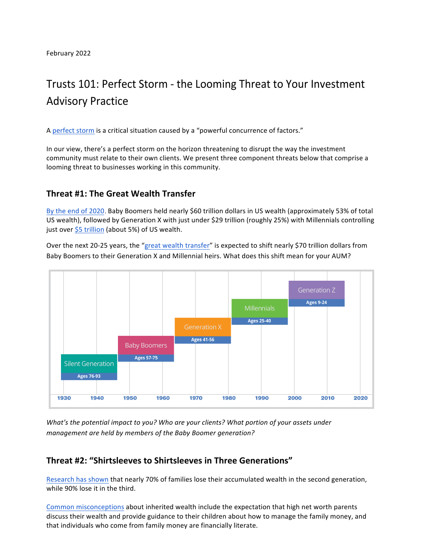# Trusts 101: Perfect Storm - the Looming Threat to Your Investment **Advisory Practice**

A perfect storm is a critical situation caused by a "powerful concurrence of factors."

In our view, there's a perfect storm on the horizon threatening to disrupt the way the investment community must relate to their own clients. We present three component threats below that comprise a looming threat to businesses working in this community.

## **Threat #1: The Great Wealth Transfer**

By the end of 2020, Baby Boomers held nearly \$60 trillion dollars in US wealth (approximately 53% of total US wealth), followed by Generation X with just under \$29 trillion (roughly 25%) with Millennials controlling just over  $$5$  trillion (about 5%) of US wealth.

Over the next 20-25 years, the "great wealth transfer" is expected to shift nearly \$70 trillion dollars from Baby Boomers to their Generation X and Millennial heirs. What does this shift mean for your AUM?



*What's the potential impact to you? Who are your clients? What portion of your assets under* management are held by members of the Baby Boomer generation?

### Threat #2: "Shirtsleeves to Shirtsleeves in Three Generations"

Research has shown that nearly 70% of families lose their accumulated wealth in the second generation, while 90% lose it in the third.

Common misconceptions about inherited wealth include the expectation that high net worth parents discuss their wealth and provide guidance to their children about how to manage the family money, and that individuals who come from family money are financially literate.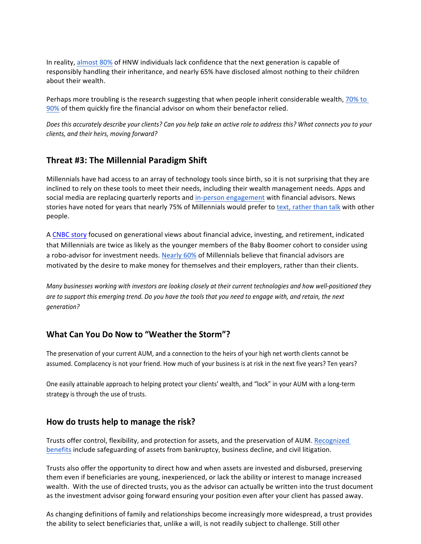In reality, almost 80% of HNW individuals lack confidence that the next generation is capable of responsibly handling their inheritance, and nearly 65% have disclosed almost nothing to their children about their wealth.

Perhaps more troubling is the research suggesting that when people inherit considerable wealth,  $70\%$  to [90%](https://www.investopedia.com/articles/personal-finance/092515/i-just-inherited-money-now-what.asp) of them quickly fire the financial advisor on whom their benefactor relied.

Does this accurately describe your clients? Can you help take an active role to address this? What connects you to your *clients,!and!their!heirs,!moving!forward?*

#### Threat #3: The Millennial Paradigm Shift

Millennials have had access to an array of technology tools since birth, so it is not surprising that they are inclined to rely on these tools to meet their needs, including their wealth management needs. Apps and social media are replacing quarterly reports and in-person engagement with financial advisors. News stories have noted for years that nearly 75% of Millennials would prefer to text, rather than talk with other people.

A CNBC story focused on generational views about financial advice, investing, and retirement, indicated that Millennials are twice as likely as the younger members of the Baby Boomer cohort to consider using a robo-advisor for investment needs. Nearly 60% of Millennials believe that financial advisors are motivated by the desire to make money for themselves and their employers, rather than their clients.

*Many businesses working with investors are looking closely at their current technologies and how well-positioned they* are to support this emerging trend. Do you have the tools that you need to engage with, and retain, the next *generation?*

#### **What Can You Do Now to "Weather the Storm"?**

The preservation of your current AUM, and a connection to the heirs of your high net worth clients cannot be assumed. Complacency is not your friend. How much of your business is at risk in the next five years? Ten years?

One easily attainable approach to helping protect your clients' wealth, and "lock" in your AUM with a long-term strategy is through the use of trusts.

#### How do trusts help to manage the risk?

Trusts offer control, flexibility, and protection for assets, and the preservation of AUM. Recognized [benefits](https://www.investopedia.com/articles/investing/101215/how-trust-funds-can-safeguard-your-children.asp) include safeguarding of assets from bankruptcy, business decline, and civil litigation.

Trusts also offer the opportunity to direct how and when assets are invested and disbursed, preserving them even if beneficiaries are young, inexperienced, or lack the ability or interest to manage increased wealth. With the use of directed trusts, you as the advisor can actually be written into the trust document as the investment advisor going forward ensuring your position even after your client has passed away.

As changing definitions of family and relationships become increasingly more widespread, a trust provides the ability to select beneficiaries that, unlike a will, is not readily subject to challenge. Still other